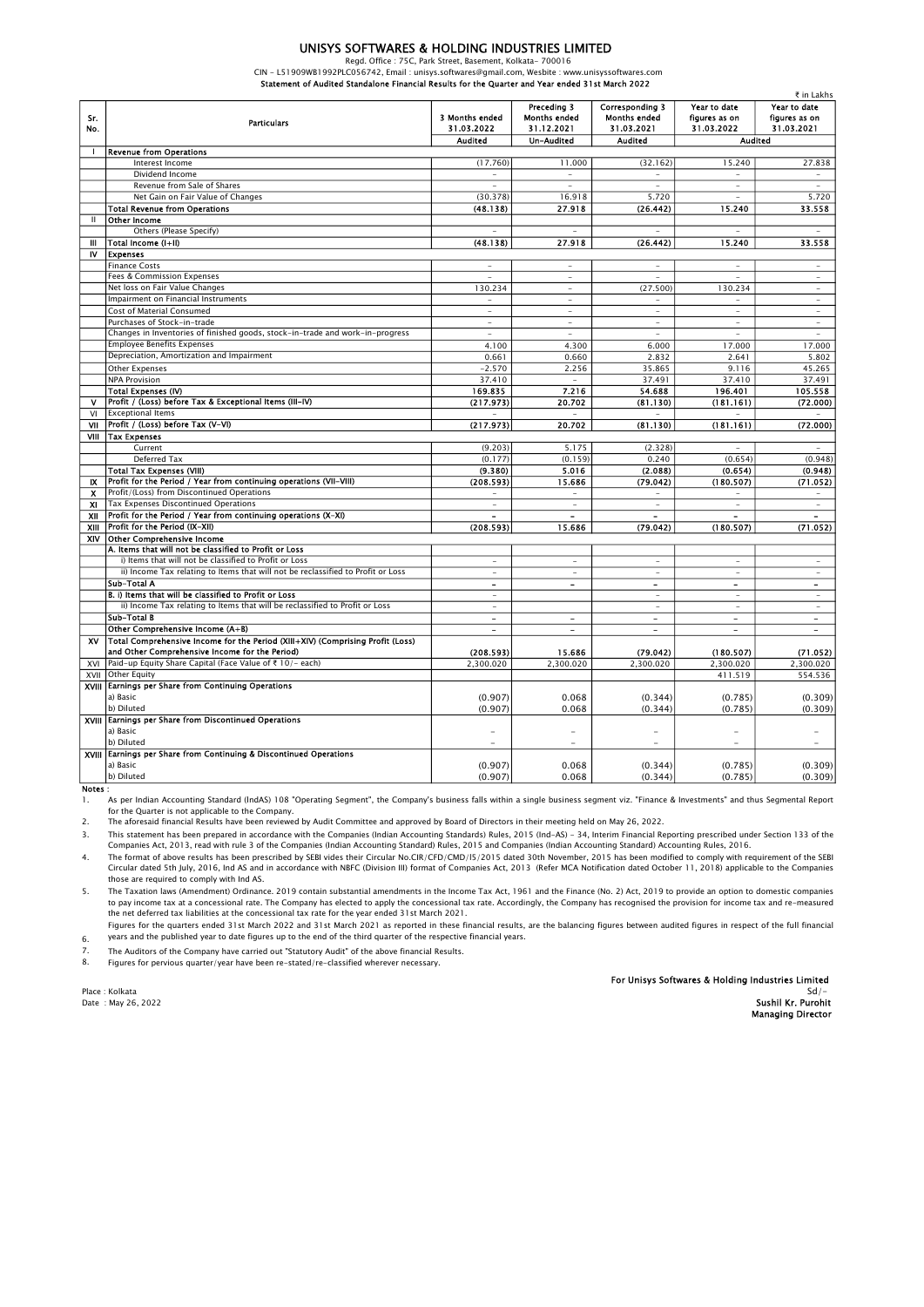### UNISYS SOFTWARES & HOLDING INDUSTRIES LIMITED

Regd. Office : 75C, Park Street, Basement, Kolkata- 700016

CIN - L51909WB1992PLC056742, Email : unisys.softwares@gmail.com, Wesbite : www.unisyssoftwares.com Statement of Audited Standalone Financial Results for the Quarter and Year ended 31st March 2022

|              |                                                                                  |                              |                                                  |                                                      |                                             | ₹ in Lakhs                                  |
|--------------|----------------------------------------------------------------------------------|------------------------------|--------------------------------------------------|------------------------------------------------------|---------------------------------------------|---------------------------------------------|
| Sr.<br>No.   | <b>Particulars</b>                                                               | 3 Months ended<br>31.03.2022 | Preceding 3<br><b>Months ended</b><br>31.12.2021 | Corresponding 3<br><b>Months ended</b><br>31.03.2021 | Year to date<br>figures as on<br>31.03.2022 | Year to date<br>figures as on<br>31.03.2021 |
|              |                                                                                  | <b>Audited</b>               | Un-Audited                                       | <b>Audited</b>                                       | <b>Audited</b>                              |                                             |
|              | <b>Revenue from Operations</b>                                                   |                              |                                                  |                                                      |                                             |                                             |
|              | Interest Income                                                                  | (17.760)                     | 11.000                                           | (32.162)                                             | 15.240                                      | 27.838                                      |
|              | Dividend Income                                                                  | $\sim$                       | $\overline{\phantom{a}}$                         | $\overline{\phantom{0}}$                             | $\overline{\phantom{a}}$                    | $\overline{\phantom{a}}$                    |
|              | Revenue from Sale of Shares                                                      |                              |                                                  | ÷                                                    | ÷                                           |                                             |
|              | Net Gain on Fair Value of Changes                                                | (30.378)                     | 16.918                                           | 5.720                                                |                                             | 5.720                                       |
|              | <b>Total Revenue from Operations</b>                                             | (48.138)                     | 27.918                                           | (26.442)                                             | 15.240                                      | 33.558                                      |
| $\mathbf{H}$ | <b>Other Income</b>                                                              |                              |                                                  |                                                      |                                             |                                             |
|              | Others (Please Specify)                                                          |                              |                                                  | ÷                                                    |                                             |                                             |
| Ш            | Total Income (I+II)                                                              | (48.138)                     | 27.918                                           | (26.442)                                             | 15.240                                      | 33.558                                      |
| IV           | <b>Expenses</b>                                                                  |                              |                                                  |                                                      |                                             |                                             |
|              | <b>Finance Costs</b>                                                             | ÷.                           | ÷.                                               | ÷                                                    | ÷                                           | $\sim$                                      |
|              | Fees & Commission Expenses                                                       | ٠                            | $\overline{\phantom{a}}$                         | ٠                                                    | ٠                                           | $\sim$                                      |
|              | Net loss on Fair Value Changes                                                   | 130.234                      | ÷.                                               | (27.500)                                             | 130.234                                     | ÷.                                          |
|              | Impairment on Financial Instruments                                              | $\sim$                       | $\overline{\phantom{a}}$                         | $\overline{\phantom{0}}$                             | $\overline{\phantom{a}}$                    | ٠                                           |
|              | Cost of Material Consumed                                                        | ÷                            | ×.                                               | ÷.                                                   | ÷                                           | ÷                                           |
|              | Purchases of Stock-in-trade                                                      | $\overline{\phantom{a}}$     | $\overline{\phantom{a}}$                         | $\overline{\phantom{a}}$                             | $\overline{\phantom{a}}$                    | $\overline{\phantom{a}}$                    |
|              | Changes in Inventories of finished goods, stock-in-trade and work-in-progress    | ×.                           | $\sim$                                           | $\bar{a}$                                            | $\bar{a}$                                   | $\sim$                                      |
|              | <b>Employee Benefits Expenses</b>                                                | 4.100                        | 4.300                                            | 6.000                                                | 17.000                                      | 17.000                                      |
|              | Depreciation, Amortization and Impairment                                        | 0.661                        | 0.660                                            | 2.832                                                | 2.641                                       | 5.802                                       |
|              | <b>Other Expenses</b>                                                            | $-2.570$                     | 2.256                                            | 35.865                                               | 9.116                                       | 45.265                                      |
|              | <b>NPA Provision</b>                                                             | 37.410                       | $\sim$                                           | 37.491                                               | 37.410                                      | 37.491                                      |
|              | Total Expenses (IV)                                                              | 169.835                      | 7.216                                            | 54.688                                               | 196.401                                     | 105.558                                     |
| v            | Profit / (Loss) before Tax & Exceptional Items (III-IV)                          | (217.973)                    | 20.702                                           | (81.130)                                             | (181.161)                                   | (72.000)                                    |
| VI           | <b>Exceptional Items</b>                                                         |                              |                                                  |                                                      |                                             |                                             |
| VII          | Profit / (Loss) before Tax (V-VI)                                                | (217.973)                    | 20.702                                           | (81.130)                                             | (181.161)                                   | (72.000)                                    |
| VIII         | <b>Tax Expenses</b>                                                              |                              |                                                  |                                                      |                                             |                                             |
|              | Current                                                                          | (9.203)                      | 5.175                                            | (2.328)<br>0.240                                     |                                             | (0.948)                                     |
|              | Deferred Tax<br><b>Total Tax Expenses (VIII)</b>                                 | (0.177)<br>(9.380)           | (0.159)<br>5.016                                 | (2.088)                                              | (0.654)<br>(0.654)                          |                                             |
| <b>IX</b>    | Profit for the Period / Year from continuing operations (VII-VIII)               | (208.593)                    | 15.686                                           | (79.042)                                             | (180.507)                                   | (0.948)<br>(71.052)                         |
| x            | Profit/(Loss) from Discontinued Operations                                       |                              |                                                  |                                                      |                                             |                                             |
| XI.          | Tax Expenses Discontinued Operations                                             | ÷                            | ٠                                                | ä,                                                   | ٠                                           | ٠                                           |
| XII          | Profit for the Period / Year from continuing operations (X-XI)                   |                              | $\overline{a}$                                   |                                                      | $\blacksquare$                              | $\blacksquare$                              |
| XIII         | Profit for the Period (IX-XII)                                                   | (208.593)                    | 15.686                                           | (79.042)                                             | (180.507)                                   | (71.052)                                    |
| XIV          | <b>Other Comprehensive Income</b>                                                |                              |                                                  |                                                      |                                             |                                             |
|              | A. Items that will not be classified to Profit or Loss                           |                              |                                                  |                                                      |                                             |                                             |
|              | i) Items that will not be classified to Profit or Loss                           | ٠                            | $\overline{\phantom{a}}$                         | $\overline{\phantom{a}}$                             | $\sim$                                      | $\sim$                                      |
|              | ii) Income Tax relating to Items that will not be reclassified to Profit or Loss | ä,                           | ٠                                                | ä,                                                   | ٠                                           | $\overline{\phantom{a}}$                    |
|              | Sub-Total A                                                                      | $\blacksquare$               | $\blacksquare$                                   | $\blacksquare$                                       | $\sim$                                      | $\blacksquare$                              |
|              | B. i) Items that will be classified to Profit or Loss                            | ÷                            |                                                  | ÷.                                                   | ×.                                          | ٠                                           |
|              | ii) Income Tax relating to Items that will be reclassified to Profit or Loss     | $\overline{\phantom{a}}$     |                                                  | $\overline{\phantom{0}}$                             | $\overline{\phantom{a}}$                    | $\overline{\phantom{a}}$                    |
|              | Sub-Total B                                                                      | $\overline{a}$               | $\overline{a}$                                   | $\overline{a}$                                       | $\overline{a}$                              | $\overline{\phantom{a}}$                    |
|              | Other Comprehensive Income (A+B)                                                 | $\overline{\phantom{a}}$     | $\overline{\phantom{a}}$                         | $\blacksquare$                                       | $\blacksquare$                              | $\blacksquare$                              |
| <b>XV</b>    | Total Comprehensive Income for the Period (XIII+XIV) (Comprising Profit (Loss)   |                              |                                                  |                                                      |                                             |                                             |
|              | and Other Comprehensive Income for the Period)                                   | (208.593)                    | 15.686                                           | (79.042)                                             | (180.507)                                   | (71.052)                                    |
| XVI          | Paid-up Equity Share Capital (Face Value of ₹ 10/- each)                         | 2,300.020                    | 2,300.020                                        | 2,300.020                                            | 2,300.020                                   | 2,300.020                                   |
| XVII         | Other Equity                                                                     |                              |                                                  |                                                      | 411.519                                     | 554.536                                     |
|              | XVIII Earnings per Share from Continuing Operations                              |                              |                                                  |                                                      |                                             |                                             |
|              | a) Basic                                                                         | (0.907)                      | 0.068                                            | (0.344)                                              | (0.785)                                     | (0.309)                                     |
|              | b) Diluted                                                                       | (0.907)                      | 0.068                                            | (0.344)                                              | (0.785)                                     | (0.309)                                     |
|              | XVIII Earnings per Share from Discontinued Operations                            |                              |                                                  |                                                      |                                             |                                             |
|              | a) Basic                                                                         |                              |                                                  |                                                      |                                             |                                             |
|              | b) Diluted                                                                       | $\overline{a}$               | $\overline{a}$                                   | $\overline{a}$                                       | $\overline{a}$                              | $\overline{a}$                              |
|              | XVIII Earnings per Share from Continuing & Discontinued Operations               |                              |                                                  |                                                      |                                             |                                             |
|              | a) Basic<br>b) Diluted                                                           | (0.907)                      | 0.068                                            | (0.344)                                              | (0.785)                                     | (0.309)                                     |
|              |                                                                                  | (0.907)                      | 0.068                                            | (0.344)                                              | (0.785)                                     | (0.309)                                     |

Notes :

1. As per Indian Accounting Standard (lndAS) 108 "Operating Segment", the Company's business falls within a single business segment viz. "Finance & Investments" and thus Segmental Report For the Quarter is not applicable to the Company.

2. The aforesaid financial Results have been reviewed by Audit Committee and approved by Board of Directors in their meeting held on May 26, 2022.

3.

4. This statement has been prepared in accordance with the Companies (Indian Accounting Standards) Rules, 2015 (Ind-AS) – 34, Interim Financial Reporting prescribed under Section 133 of the<br>Companies Act, 2013, read with rule The format of above results has been prescribed by SEBI vides their Circular No.CIR/CFD/CMD/I5/2015 dated 30th November, 2015 has been modified to comply with requirement of the SEBI Circular dated 5th July, 2016, Ind AS and in accordance with NBFC (Division III) format of Companies Act, 2013 (Refer MCA Notification dated October 11, 2018) applicable to the Companies

5. those are required to comply with Ind AS.

The Taxation laws (Amendment) Ordinance. 2019 contain substantial amendments in the Income Tax Act, 1961 and the Finance (No. 2) Act, 2019 to provide an option to domestic companies<br>to pay income tax at a concessional rate the net deferred tax liabilities at the concessional tax rate for the year ended 31st March 2021.

6. Figures for the quarters ended 31st March 2022 and 31st March 2021 as reported in these financial results, are the balancing figures between audited figures in respect of the full financial years and the published year to date figures up to the end of the third quarter of the respective financial years.

7. The Auditors of the Company have carried out "Statutory Audit" of the above financial Results.

8. Figures for pervious quarter/year have been re-stated/re-classified wherever necessary.

For Unisys Softwares & Holding Industries Limited<br>Sd/-

יום אויינו האיים באויינו באויינו באויינו באויינו באויינו באויינו באויינו באויינו באויינו באויינו באויינו באויי<br>Sushil Kr. Purohit

#### Place : Kolkata Sd<sup>/</sup>- Sales Sd<sup>/-</sup> Sdistance of Sdistance of Sdistance of Sdistance of Sdistance of Sdistance of Sdistance of Sdistance of Sdistance of Sdistance of Sdistance of Sdistance of Sdistance of Sdistance of Sdis

Managing Director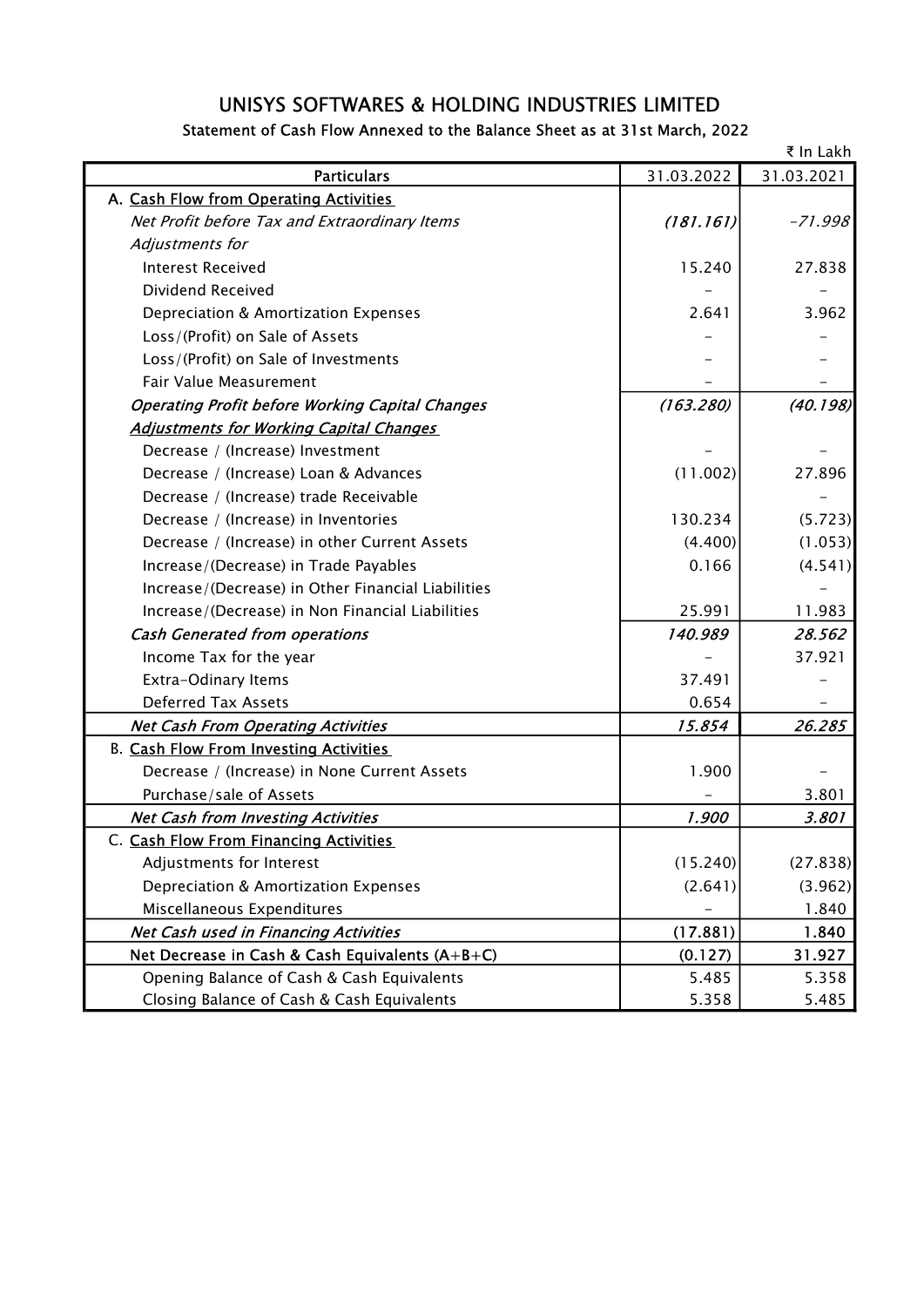# UNISYS SOFTWARES & HOLDING INDUSTRIES LIMITED

## Statement of Cash Flow Annexed to the Balance Sheet as at 31st March, 2022

|                                                        |            | ₹ In Lakh  |
|--------------------------------------------------------|------------|------------|
| <b>Particulars</b>                                     | 31.03.2022 | 31.03.2021 |
| A. Cash Flow from Operating Activities                 |            |            |
| Net Profit before Tax and Extraordinary Items          | (181.161)  | $-71.998$  |
| Adjustments for                                        |            |            |
| <b>Interest Received</b>                               | 15.240     | 27.838     |
| Dividend Received                                      |            |            |
| Depreciation & Amortization Expenses                   | 2.641      | 3.962      |
| Loss/(Profit) on Sale of Assets                        |            |            |
| Loss/(Profit) on Sale of Investments                   |            |            |
| Fair Value Measurement                                 |            |            |
| <b>Operating Profit before Working Capital Changes</b> | (163.280)  | (40.198)   |
| <b>Adjustments for Working Capital Changes</b>         |            |            |
| Decrease / (Increase) Investment                       |            |            |
| Decrease / (Increase) Loan & Advances                  | (11.002)   | 27.896     |
| Decrease / (Increase) trade Receivable                 |            |            |
| Decrease / (Increase) in Inventories                   | 130.234    | (5.723)    |
| Decrease / (Increase) in other Current Assets          | (4.400)    | (1.053)    |
| Increase/(Decrease) in Trade Payables                  | 0.166      | (4.541)    |
| Increase/(Decrease) in Other Financial Liabilities     |            |            |
| Increase/(Decrease) in Non Financial Liabilities       | 25.991     | 11.983     |
| <b>Cash Generated from operations</b>                  | 140.989    | 28.562     |
| Income Tax for the year                                |            | 37.921     |
| Extra-Odinary Items                                    | 37.491     |            |
| <b>Deferred Tax Assets</b>                             | 0.654      |            |
| <b>Net Cash From Operating Activities</b>              | 15.854     | 26.285     |
| <b>B. Cash Flow From Investing Activities</b>          |            |            |
| Decrease / (Increase) in None Current Assets           | 1.900      |            |
| Purchase/sale of Assets                                |            | 3.801      |
| <b>Net Cash from Investing Activities</b>              | 1.900      | 3.801      |
| C. Cash Flow From Financing Activities                 |            |            |
| Adjustments for Interest                               | (15.240)   | (27.838)   |
| Depreciation & Amortization Expenses                   | (2.641)    | (3.962)    |
| Miscellaneous Expenditures                             |            | 1.840      |
| <b>Net Cash used in Financing Activities</b>           | (17.881)   | 1.840      |
| Net Decrease in Cash & Cash Equivalents (A+B+C)        | (0.127)    | 31.927     |
| Opening Balance of Cash & Cash Equivalents             | 5.485      | 5.358      |
| Closing Balance of Cash & Cash Equivalents             | 5.358      | 5.485      |